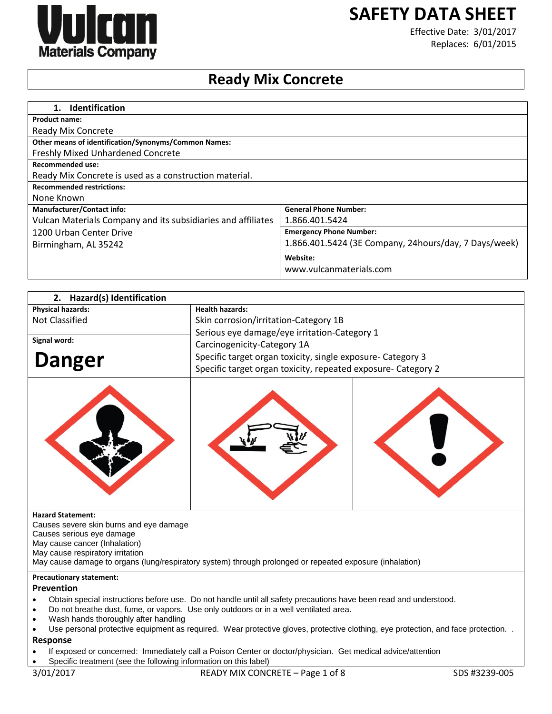

# **SAFETY DATA SHEET**

Effective Date: 3/01/2017 Replaces: 6/01/2015

## **Ready Mix Concrete**

| <b>Identification</b><br>1.                                  |                                                       |
|--------------------------------------------------------------|-------------------------------------------------------|
| <b>Product name:</b>                                         |                                                       |
| Ready Mix Concrete                                           |                                                       |
| Other means of identification/Synonyms/Common Names:         |                                                       |
| <b>Freshly Mixed Unhardened Concrete</b>                     |                                                       |
| Recommended use:                                             |                                                       |
| Ready Mix Concrete is used as a construction material.       |                                                       |
| <b>Recommended restrictions:</b>                             |                                                       |
| None Known                                                   |                                                       |
| <b>Manufacturer/Contact info:</b>                            | <b>General Phone Number:</b>                          |
| Vulcan Materials Company and its subsidiaries and affiliates | 1.866.401.5424                                        |
| 1200 Urban Center Drive                                      | <b>Emergency Phone Number:</b>                        |
| Birmingham, AL 35242                                         | 1.866.401.5424 (3E Company, 24hours/day, 7 Days/week) |
|                                                              | Website:                                              |
|                                                              | www.vulcanmaterials.com                               |

| 2. Hazard(s) Identification                                                                                                        |                                                                                                             |  |
|------------------------------------------------------------------------------------------------------------------------------------|-------------------------------------------------------------------------------------------------------------|--|
| <b>Physical hazards:</b>                                                                                                           | <b>Health hazards:</b>                                                                                      |  |
| <b>Not Classified</b>                                                                                                              | Skin corrosion/irritation-Category 1B                                                                       |  |
|                                                                                                                                    | Serious eye damage/eye irritation-Category 1                                                                |  |
| Signal word:                                                                                                                       | Carcinogenicity-Category 1A                                                                                 |  |
|                                                                                                                                    | Specific target organ toxicity, single exposure- Category 3                                                 |  |
| <b>Danger</b>                                                                                                                      | Specific target organ toxicity, repeated exposure- Category 2                                               |  |
|                                                                                                                                    |                                                                                                             |  |
| <b>Hazard Statement:</b><br>Causes severe skin burns and eye damage                                                                |                                                                                                             |  |
| Causes serious eye damage                                                                                                          |                                                                                                             |  |
| May cause cancer (Inhalation)                                                                                                      |                                                                                                             |  |
| May cause respiratory irritation                                                                                                   |                                                                                                             |  |
|                                                                                                                                    | May cause damage to organs (lung/respiratory system) through prolonged or repeated exposure (inhalation)    |  |
| <b>Precautionary statement:</b>                                                                                                    |                                                                                                             |  |
| Prevention                                                                                                                         |                                                                                                             |  |
| Obtain special instructions before use. Do not handle until all safety precautions have been read and understood.                  |                                                                                                             |  |
| Do not breathe dust, fume, or vapors. Use only outdoors or in a well ventilated area.<br>Wash hands thoroughly after handling      |                                                                                                             |  |
| Use personal protective equipment as required. Wear protective gloves, protective clothing, eye protection, and face protection. . |                                                                                                             |  |
| Response                                                                                                                           |                                                                                                             |  |
|                                                                                                                                    | If exposed or concerned: Immediately call a Poison Center or doctor/physician. Get medical advice/attention |  |

Specific treatment (see the following information on this label)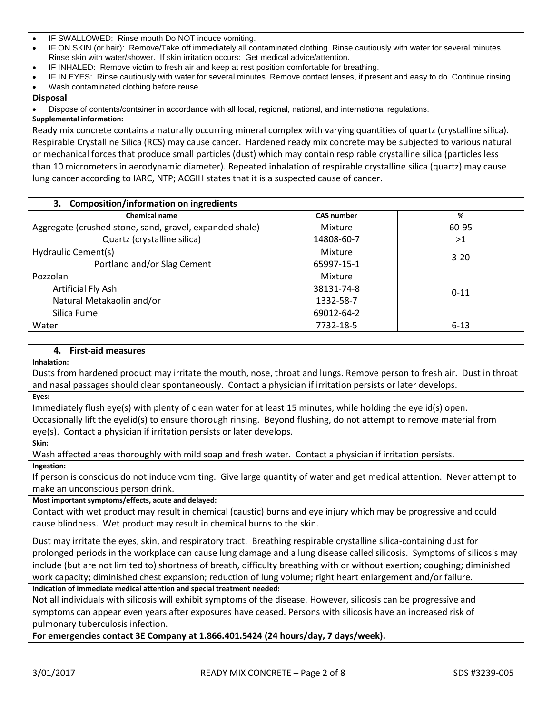- IF SWALLOWED: Rinse mouth Do NOT induce vomiting.
- IF ON SKIN (or hair): Remove/Take off immediately all contaminated clothing. Rinse cautiously with water for several minutes. Rinse skin with water/shower. If skin irritation occurs: Get medical advice/attention.
- IF INHALED: Remove victim to fresh air and keep at rest position comfortable for breathing.
- IF IN EYES: Rinse cautiously with water for several minutes. Remove contact lenses, if present and easy to do. Continue rinsing.
- Wash contaminated clothing before reuse.

#### **Disposal**

Dispose of contents/container in accordance with all local, regional, national, and international regulations.

#### **Supplemental information:**

Ready mix concrete contains a naturally occurring mineral complex with varying quantities of quartz (crystalline silica). Respirable Crystalline Silica (RCS) may cause cancer. Hardened ready mix concrete may be subjected to various natural or mechanical forces that produce small particles (dust) which may contain respirable crystalline silica (particles less than 10 micrometers in aerodynamic diameter). Repeated inhalation of respirable crystalline silica (quartz) may cause lung cancer according to IARC, NTP; ACGIH states that it is a suspected cause of cancer.

| 3. Composition/information on ingredients               |                   |          |
|---------------------------------------------------------|-------------------|----------|
| <b>Chemical name</b>                                    | <b>CAS number</b> | %        |
| Aggregate (crushed stone, sand, gravel, expanded shale) | Mixture           | 60-95    |
| Quartz (crystalline silica)                             | 14808-60-7        | >1       |
| Hydraulic Cement(s)                                     | Mixture           | $3 - 20$ |
| Portland and/or Slag Cement                             | 65997-15-1        |          |
| Pozzolan                                                | Mixture           |          |
| Artificial Fly Ash                                      | 38131-74-8        | $0 - 11$ |
| Natural Metakaolin and/or                               | 1332-58-7         |          |
| Silica Fume                                             | 69012-64-2        |          |
| Water                                                   | 7732-18-5         | $6 - 13$ |

#### **4. First-aid measures**

**Inhalation:** 

Dusts from hardened product may irritate the mouth, nose, throat and lungs. Remove person to fresh air. Dust in throat and nasal passages should clear spontaneously. Contact a physician if irritation persists or later develops.

**Eyes:** 

Immediately flush eye(s) with plenty of clean water for at least 15 minutes, while holding the eyelid(s) open.

Occasionally lift the eyelid(s) to ensure thorough rinsing. Beyond flushing, do not attempt to remove material from eye(s). Contact a physician if irritation persists or later develops.

**Skin:** 

Wash affected areas thoroughly with mild soap and fresh water. Contact a physician if irritation persists. **Ingestion:** 

If person is conscious do not induce vomiting. Give large quantity of water and get medical attention. Never attempt to make an unconscious person drink.

**Most important symptoms/effects, acute and delayed:**

Contact with wet product may result in chemical (caustic) burns and eye injury which may be progressive and could cause blindness. Wet product may result in chemical burns to the skin.

Dust may irritate the eyes, skin, and respiratory tract. Breathing respirable crystalline silica-containing dust for prolonged periods in the workplace can cause lung damage and a lung disease called silicosis. Symptoms of silicosis may include (but are not limited to) shortness of breath, difficulty breathing with or without exertion; coughing; diminished work capacity; diminished chest expansion; reduction of lung volume; right heart enlargement and/or failure.

**Indication of immediate medical attention and special treatment needed:**

Not all individuals with silicosis will exhibit symptoms of the disease. However, silicosis can be progressive and symptoms can appear even years after exposures have ceased. Persons with silicosis have an increased risk of pulmonary tuberculosis infection.

**For emergencies contact 3E Company at 1.866.401.5424 (24 hours/day, 7 days/week).**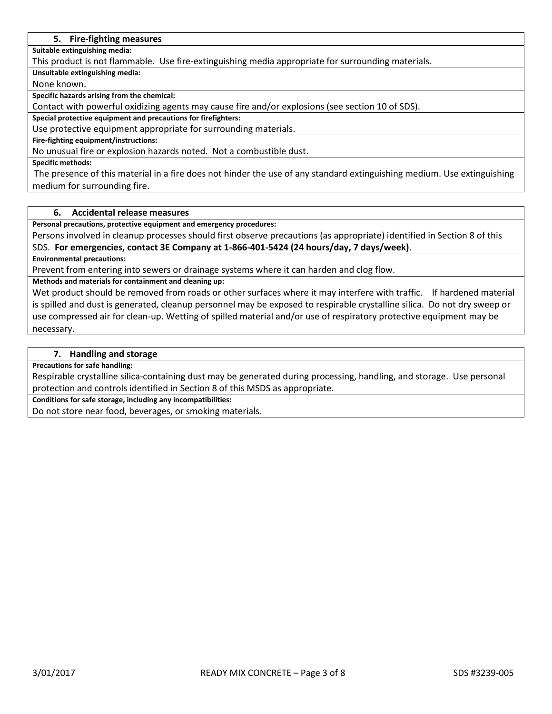#### **5. Fire-fighting measures**

**Suitable extinguishing media:**

This product is not flammable. Use fire-extinguishing media appropriate for surrounding materials.

**Unsuitable extinguishing media:**

None known.

**Specific hazards arising from the chemical:**

Contact with powerful oxidizing agents may cause fire and/or explosions (see section 10 of SDS).

**Special protective equipment and precautions for firefighters:**

Use protective equipment appropriate for surrounding materials.

## **Fire-fighting equipment/instructions:**

No unusual fire or explosion hazards noted. Not a combustible dust.

**Specific methods:**

The presence of this material in a fire does not hinder the use of any standard extinguishing medium. Use extinguishing medium for surrounding fire.

### **6. Accidental release measures**

**Personal precautions, protective equipment and emergency procedures:**

Persons involved in cleanup processes should first observe precautions (as appropriate) identified in Section 8 of this SDS. **For emergencies, contact 3E Company at 1-866-401-5424 (24 hours/day, 7 days/week)**.

**Environmental precautions:**

Prevent from entering into sewers or drainage systems where it can harden and clog flow.

**Methods and materials for containment and cleaning up:**

Wet product should be removed from roads or other surfaces where it may interfere with traffic. If hardened material is spilled and dust is generated, cleanup personnel may be exposed to respirable crystalline silica. Do not dry sweep or use compressed air for clean-up. Wetting of spilled material and/or use of respiratory protective equipment may be necessary.

#### **7. Handling and storage**

**Precautions for safe handling:**

Respirable crystalline silica-containing dust may be generated during processing, handling, and storage. Use personal protection and controls identified in Section 8 of this MSDS as appropriate.

**Conditions for safe storage, including any incompatibilities:**

Do not store near food, beverages, or smoking materials.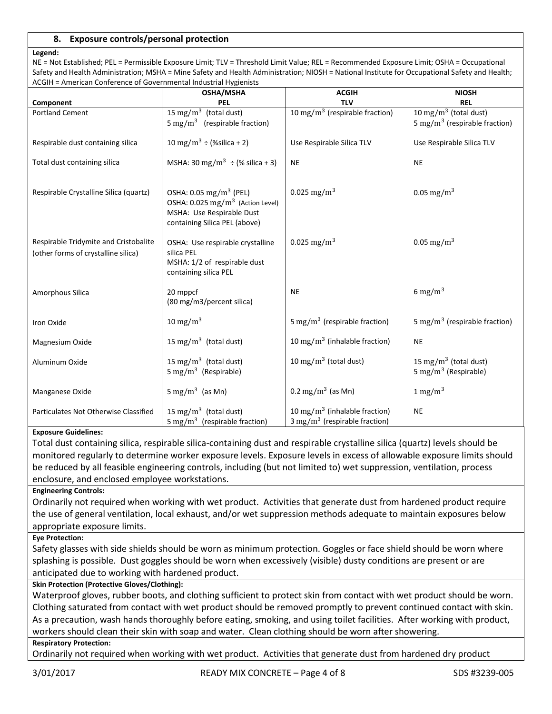### **8. Exposure controls/personal protection**

#### **Legend:**

NE = Not Established; PEL = Permissible Exposure Limit; TLV = Threshold Limit Value; REL = Recommended Exposure Limit; OSHA = Occupational Safety and Health Administration; MSHA = Mine Safety and Health Administration; NIOSH = National Institute for Occupational Safety and Health; ACGIH = American Conference of Governmental Industrial Hygienists

| ACOM – AMCHCan Comclence of Governmental muustriui rivgichists<br><b>ACGIH</b><br><b>NIOSH</b> |                                                  |                                                 |                                           |
|------------------------------------------------------------------------------------------------|--------------------------------------------------|-------------------------------------------------|-------------------------------------------|
| Component                                                                                      | OSHA/MSHA<br><b>PEL</b>                          | <b>TLV</b>                                      | <b>REL</b>                                |
|                                                                                                | 15 mg/m <sup>3</sup> (total dust)                | $\frac{10 \text{ mg}}{m}$ (respirable fraction) | 10 mg/m <sup>3</sup> (total dust)         |
| <b>Portland Cement</b>                                                                         |                                                  |                                                 |                                           |
|                                                                                                | 5 mg/m <sup>3</sup> (respirable fraction)        |                                                 | 5 mg/m <sup>3</sup> (respirable fraction) |
|                                                                                                |                                                  |                                                 |                                           |
| Respirable dust containing silica                                                              | 10 mg/m <sup>3</sup> ÷ (%silica + 2)             | Use Respirable Silica TLV                       | Use Respirable Silica TLV                 |
|                                                                                                |                                                  |                                                 |                                           |
| Total dust containing silica                                                                   | MSHA: 30 mg/m <sup>3</sup> $\div$ (% silica + 3) | <b>NE</b>                                       | <b>NE</b>                                 |
|                                                                                                |                                                  |                                                 |                                           |
|                                                                                                |                                                  |                                                 |                                           |
| Respirable Crystalline Silica (quartz)                                                         | OSHA: 0.05 mg/m <sup>3</sup> (PEL)               | 0.025 mg/m <sup>3</sup>                         | $0.05$ mg/m <sup>3</sup>                  |
|                                                                                                | OSHA: $0.025$ mg/m <sup>3</sup> (Action Level)   |                                                 |                                           |
|                                                                                                | MSHA: Use Respirable Dust                        |                                                 |                                           |
|                                                                                                | containing Silica PEL (above)                    |                                                 |                                           |
|                                                                                                |                                                  |                                                 |                                           |
| Respirable Tridymite and Cristobalite                                                          | OSHA: Use respirable crystalline                 | 0.025 mg/m <sup>3</sup>                         | $0.05$ mg/m <sup>3</sup>                  |
| (other forms of crystalline silica)                                                            | silica PEL                                       |                                                 |                                           |
|                                                                                                | MSHA: 1/2 of respirable dust                     |                                                 |                                           |
|                                                                                                | containing silica PEL                            |                                                 |                                           |
|                                                                                                |                                                  |                                                 |                                           |
| Amorphous Silica                                                                               | 20 mppcf                                         | <b>NE</b>                                       | 6 mg/m <sup>3</sup>                       |
|                                                                                                | (80 mg/m3/percent silica)                        |                                                 |                                           |
|                                                                                                | 10 mg/m <sup>3</sup>                             | 5 mg/m <sup>3</sup> (respirable fraction)       | 5 mg/m <sup>3</sup> (respirable fraction) |
| Iron Oxide                                                                                     |                                                  |                                                 |                                           |
| Magnesium Oxide                                                                                | 15 mg/m <sup>3</sup> (total dust)                | 10 mg/m <sup>3</sup> (inhalable fraction)       | <b>NE</b>                                 |
|                                                                                                |                                                  |                                                 |                                           |
| Aluminum Oxide                                                                                 | 15 mg/m <sup>3</sup> (total dust)                | 10 mg/m <sup>3</sup> (total dust)               | 15 mg/m <sup>3</sup> (total dust)         |
|                                                                                                | 5 mg/m <sup>3</sup> (Respirable)                 |                                                 | 5 mg/m <sup>3</sup> (Respirable)          |
|                                                                                                |                                                  |                                                 |                                           |
| Manganese Oxide                                                                                | 5 mg/m <sup>3</sup> (as Mn)                      | 0.2 mg/m <sup>3</sup> (as Mn)                   | $1 \text{ mg/m}^3$                        |
|                                                                                                |                                                  |                                                 |                                           |
| Particulates Not Otherwise Classified                                                          | 15 mg/m <sup>3</sup> (total dust)                | 10 mg/m <sup>3</sup> (inhalable fraction)       | <b>NE</b>                                 |
|                                                                                                | 5 mg/m <sup>3</sup> (respirable fraction)        | $3 \text{ mg/m}^3$ (respirable fraction)        |                                           |
|                                                                                                |                                                  |                                                 |                                           |

#### **Exposure Guidelines:**

Total dust containing silica, respirable silica-containing dust and respirable crystalline silica (quartz) levels should be monitored regularly to determine worker exposure levels. Exposure levels in excess of allowable exposure limits should be reduced by all feasible engineering controls, including (but not limited to) wet suppression, ventilation, process enclosure, and enclosed employee workstations.

#### **Engineering Controls:**

Ordinarily not required when working with wet product. Activities that generate dust from hardened product require the use of general ventilation, local exhaust, and/or wet suppression methods adequate to maintain exposures below appropriate exposure limits.

#### **Eye Protection:**

Safety glasses with side shields should be worn as minimum protection. Goggles or face shield should be worn where splashing is possible. Dust goggles should be worn when excessively (visible) dusty conditions are present or are anticipated due to working with hardened product.

#### **Skin Protection (Protective Gloves/Clothing):**

Waterproof gloves, rubber boots, and clothing sufficient to protect skin from contact with wet product should be worn. Clothing saturated from contact with wet product should be removed promptly to prevent continued contact with skin. As a precaution, wash hands thoroughly before eating, smoking, and using toilet facilities. After working with product, workers should clean their skin with soap and water. Clean clothing should be worn after showering.

#### **Respiratory Protection:**

Ordinarily not required when working with wet product. Activities that generate dust from hardened dry product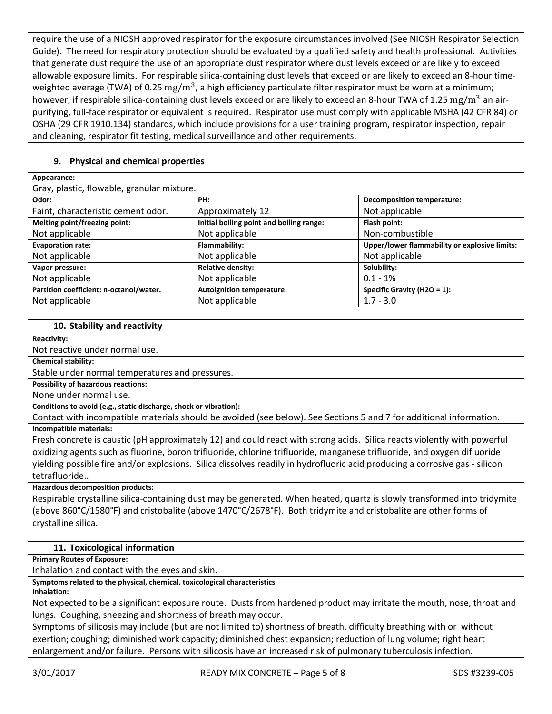require the use of a NIOSH approved respirator for the exposure circumstances involved (See NIOSH Respirator Selection Guide). The need for respiratory protection should be evaluated by a qualified safety and health professional. Activities that generate dust require the use of an appropriate dust respirator where dust levels exceed or are likely to exceed allowable exposure limits. For respirable silica-containing dust levels that exceed or are likely to exceed an 8-hour timeweighted average (TWA) of 0.25  $\rm mg/m^3$ , a high efficiency particulate filter respirator must be worn at a minimum; however, if respirable silica-containing dust levels exceed or are likely to exceed an 8-hour TWA of 1.25 mg/m<sup>3</sup> an airpurifying, full-face respirator or equivalent is required. Respirator use must comply with applicable MSHA (42 CFR 84) or OSHA (29 CFR 1910.134) standards, which include provisions for a user training program, respirator inspection, repair and cleaning, respirator fit testing, medical surveillance and other requirements.

## **9. Physical and chemical properties**

| Appearance:                                |                                          |                                               |  |  |
|--------------------------------------------|------------------------------------------|-----------------------------------------------|--|--|
| Gray, plastic, flowable, granular mixture. |                                          |                                               |  |  |
| Odor:                                      | PH:                                      | <b>Decomposition temperature:</b>             |  |  |
| Faint, characteristic cement odor.         | Approximately 12                         | Not applicable                                |  |  |
| Melting point/freezing point:              | Initial boiling point and boiling range: | Flash point:                                  |  |  |
| Not applicable                             | Not applicable                           | Non-combustible                               |  |  |
| <b>Evaporation rate:</b>                   | Flammability:                            | Upper/lower flammability or explosive limits: |  |  |
| Not applicable                             | Not applicable                           | Not applicable                                |  |  |
| Vapor pressure:                            | <b>Relative density:</b>                 | Solubility:                                   |  |  |
| Not applicable                             | Not applicable                           | $0.1 - 1%$                                    |  |  |
| Partition coefficient: n-octanol/water.    | <b>Autoignition temperature:</b>         | Specific Gravity (H2O = 1):                   |  |  |
| Not applicable                             | Not applicable                           | $1.7 - 3.0$                                   |  |  |

#### **10. Stability and reactivity**

**Reactivity:**

Not reactive under normal use.

**Chemical stability:**

Stable under normal temperatures and pressures.

**Possibility of hazardous reactions:**  None under normal use.

**Conditions to avoid (e.g., static discharge, shock or vibration):**

Contact with incompatible materials should be avoided (see below). See Sections 5 and 7 for additional information. **Incompatible materials:**

Fresh concrete is caustic (pH approximately 12) and could react with strong acids. Silica reacts violently with powerful oxidizing agents such as fluorine, boron trifluoride, chlorine trifluoride, manganese trifluoride, and oxygen difluoride yielding possible fire and/or explosions. Silica dissolves readily in hydrofluoric acid producing a corrosive gas - silicon tetrafluoride..

## **Hazardous decomposition products:**

Respirable crystalline silica-containing dust may be generated. When heated, quartz is slowly transformed into tridymite (above 860°C/1580°F) and cristobalite (above 1470°C/2678°F). Both tridymite and cristobalite are other forms of crystalline silica.

## **11. Toxicological information**

**Primary Routes of Exposure:**

Inhalation and contact with the eyes and skin.

**Symptoms related to the physical, chemical, toxicological characteristics Inhalation:**

Not expected to be a significant exposure route. Dusts from hardened product may irritate the mouth, nose, throat and lungs. Coughing, sneezing and shortness of breath may occur.

Symptoms of silicosis may include (but are not limited to) shortness of breath, difficulty breathing with or without exertion; coughing; diminished work capacity; diminished chest expansion; reduction of lung volume; right heart enlargement and/or failure. Persons with silicosis have an increased risk of pulmonary tuberculosis infection.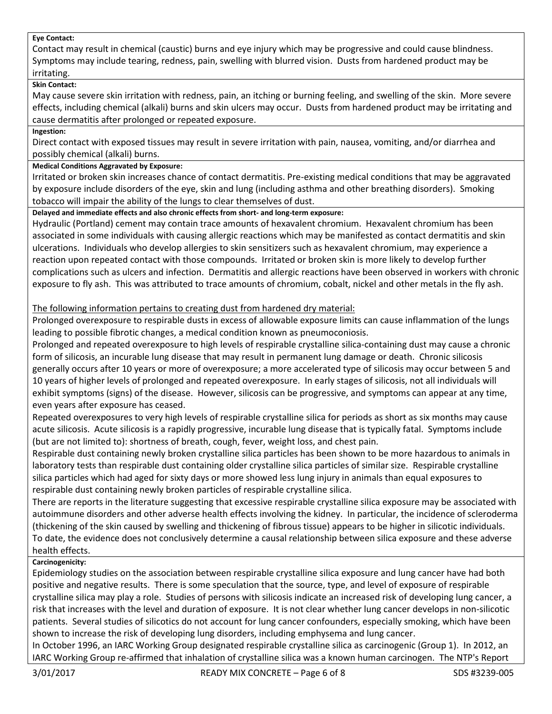#### **Eye Contact:**

Contact may result in chemical (caustic) burns and eye injury which may be progressive and could cause blindness. Symptoms may include tearing, redness, pain, swelling with blurred vision. Dusts from hardened product may be irritating.

## **Skin Contact:**

May cause severe skin irritation with redness, pain, an itching or burning feeling, and swelling of the skin. More severe effects, including chemical (alkali) burns and skin ulcers may occur. Dusts from hardened product may be irritating and cause dermatitis after prolonged or repeated exposure.

#### **Ingestion:**

Direct contact with exposed tissues may result in severe irritation with pain, nausea, vomiting, and/or diarrhea and possibly chemical (alkali) burns.

### **Medical Conditions Aggravated by Exposure:**

Irritated or broken skin increases chance of contact dermatitis. Pre-existing medical conditions that may be aggravated by exposure include disorders of the eye, skin and lung (including asthma and other breathing disorders). Smoking tobacco will impair the ability of the lungs to clear themselves of dust.

**Delayed and immediate effects and also chronic effects from short- and long-term exposure:**

Hydraulic (Portland) cement may contain trace amounts of hexavalent chromium. Hexavalent chromium has been associated in some individuals with causing allergic reactions which may be manifested as contact dermatitis and skin ulcerations. Individuals who develop allergies to skin sensitizers such as hexavalent chromium, may experience a reaction upon repeated contact with those compounds. Irritated or broken skin is more likely to develop further complications such as ulcers and infection. Dermatitis and allergic reactions have been observed in workers with chronic exposure to fly ash. This was attributed to trace amounts of chromium, cobalt, nickel and other metals in the fly ash.

## The following information pertains to creating dust from hardened dry material:

Prolonged overexposure to respirable dusts in excess of allowable exposure limits can cause inflammation of the lungs leading to possible fibrotic changes, a medical condition known as pneumoconiosis.

Prolonged and repeated overexposure to high levels of respirable crystalline silica-containing dust may cause a chronic form of silicosis, an incurable lung disease that may result in permanent lung damage or death. Chronic silicosis generally occurs after 10 years or more of overexposure; a more accelerated type of silicosis may occur between 5 and 10 years of higher levels of prolonged and repeated overexposure. In early stages of silicosis, not all individuals will exhibit symptoms (signs) of the disease. However, silicosis can be progressive, and symptoms can appear at any time, even years after exposure has ceased.

Repeated overexposures to very high levels of respirable crystalline silica for periods as short as six months may cause acute silicosis. Acute silicosis is a rapidly progressive, incurable lung disease that is typically fatal. Symptoms include (but are not limited to): shortness of breath, cough, fever, weight loss, and chest pain.

Respirable dust containing newly broken crystalline silica particles has been shown to be more hazardous to animals in laboratory tests than respirable dust containing older crystalline silica particles of similar size. Respirable crystalline silica particles which had aged for sixty days or more showed less lung injury in animals than equal exposures to respirable dust containing newly broken particles of respirable crystalline silica.

There are reports in the literature suggesting that excessive respirable crystalline silica exposure may be associated with autoimmune disorders and other adverse health effects involving the kidney. In particular, the incidence of scleroderma (thickening of the skin caused by swelling and thickening of fibrous tissue) appears to be higher in silicotic individuals. To date, the evidence does not conclusively determine a causal relationship between silica exposure and these adverse health effects.

## **Carcinogenicity:**

Epidemiology studies on the association between respirable crystalline silica exposure and lung cancer have had both positive and negative results. There is some speculation that the source, type, and level of exposure of respirable crystalline silica may play a role. Studies of persons with silicosis indicate an increased risk of developing lung cancer, a risk that increases with the level and duration of exposure. It is not clear whether lung cancer develops in non-silicotic patients. Several studies of silicotics do not account for lung cancer confounders, especially smoking, which have been shown to increase the risk of developing lung disorders, including emphysema and lung cancer.

In October 1996, an IARC Working Group designated respirable crystalline silica as carcinogenic (Group 1). In 2012, an IARC Working Group re-affirmed that inhalation of crystalline silica was a known human carcinogen. The NTP's Report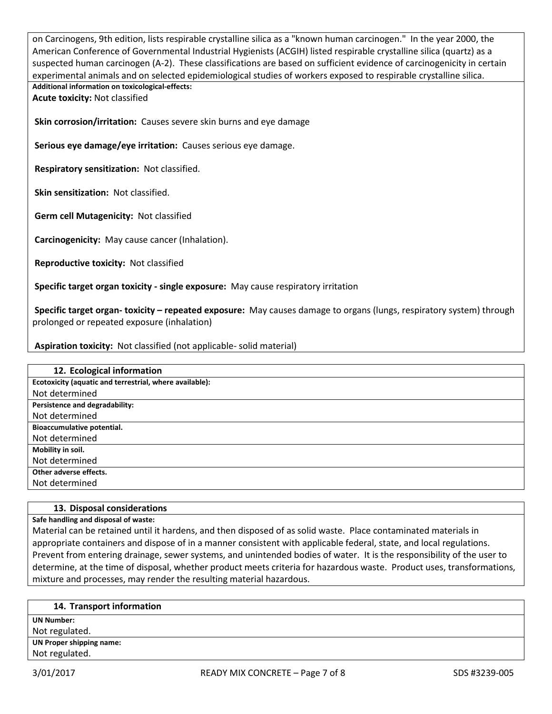on Carcinogens, 9th edition, lists respirable crystalline silica as a "known human carcinogen." In the year 2000, the American Conference of Governmental Industrial Hygienists (ACGIH) listed respirable crystalline silica (quartz) as a suspected human carcinogen (A-2). These classifications are based on sufficient evidence of carcinogenicity in certain experimental animals and on selected epidemiological studies of workers exposed to respirable crystalline silica. **Additional information on toxicological-effects:**

**Acute toxicity:** Not classified

**Skin corrosion/irritation:** Causes severe skin burns and eye damage

**Serious eye damage/eye irritation:** Causes serious eye damage.

**Respiratory sensitization:** Not classified.

**Skin sensitization:** Not classified.

**Germ cell Mutagenicity:** Not classified

**Carcinogenicity:** May cause cancer (Inhalation).

**Reproductive toxicity:** Not classified

**Specific target organ toxicity - single exposure:** May cause respiratory irritation

**Specific target organ- toxicity – repeated exposure:** May causes damage to organs (lungs, respiratory system) through prolonged or repeated exposure (inhalation)

**Aspiration toxicity:** Not classified (not applicable- solid material)

| 12. Ecological information                              |
|---------------------------------------------------------|
| Ecotoxicity (aquatic and terrestrial, where available): |
| Not determined                                          |
| Persistence and degradability:                          |
| Not determined                                          |
| Bioaccumulative potential.                              |
| Not determined                                          |
| Mobility in soil.                                       |
| Not determined                                          |
| Other adverse effects.                                  |
| Not determined                                          |

#### **13. Disposal considerations**

**Safe handling and disposal of waste:**

Material can be retained until it hardens, and then disposed of as solid waste. Place contaminated materials in appropriate containers and dispose of in a manner consistent with applicable federal, state, and local regulations. Prevent from entering drainage, sewer systems, and unintended bodies of water. It is the responsibility of the user to determine, at the time of disposal, whether product meets criteria for hazardous waste. Product uses, transformations, mixture and processes, may render the resulting material hazardous.

#### **14. Transport information**

**UN Number:**

Not regulated.

**UN Proper shipping name:** Not regulated.